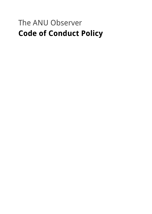# The ANU Observer **Code of Conduct Policy**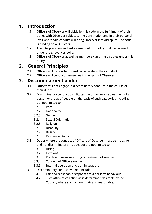# **1. Introduction**

- 1.1. Officers of Observer will abide by this code in the fulfillment of their duties with Observer subject to the Constitution and in their personal lives where said conduct will bring Observer into disrepute. The code is binding on all Officers.
- 1.2. The interpretation and enforcement of this policy shall be covered under the grievances policy.
- 1.3. Officers of Observer as well as members can bring disputes under this policy.

## **2. General Principles**

- 2.1. Officers will be courteous and considerate in their conduct.
- 2.2. Officers will conduct themselves in the spirit of Observer.

#### **3. Discriminatory Conduct**

- 3.1. Officers will not engage in discriminatory conduct in the course of their duties.
- 3.2. Discriminatory conduct constitutes the unfavourable treatment of a person or group of people on the basis of such categories including, but not limited to;
	- 3.2.1. Race
	- 3.2.2. Nationality
	- 3.2.3. Gender
	- 3.2.4. Sexual Orientation
	- 3.2.5. Religion
	- 3.2.6. Disability
	- 3.2.7. Degree
	- 3.2.8. Residence Status
- 3.3. Duties where the conduct of Officers of Observer must be inclusive and not discriminatory include, but are not limited to:
	- 3.3.1. Hiring
	- 3.3.2. Elections
	- 3.3.3. Practice of news reporting & treatment of sources
	- 3.3.4. Conduct of Officers online
	- 3.3.5. Internal operation and administration.
- 3.4. Discriminatory conduct will not include;
	- 3.4.1. Fair and reasonable responses to a person's behaviour
	- 3.4.2. Such affirmative action as is determined desirable by the Council, where such action is fair and reasonable.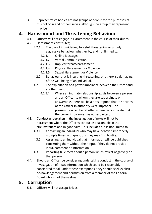3.5. Representative bodies are not groups of people for the purposes of this policy in and of themselves, although the group they represent may be.

## **4. Harassment and Threatening Behaviour**

- 4.1. Officers will not engage in Harassment in the course of their duties.
- 4.2. Harassment constitutes;
	- 4.2.1. The use of intimidating, forceful, threatening or unduly aggressive behaviour whether by, and not limited to;
		- 4.2.1.1. Online Messages
		- 4.2.1.2. Verbal Communication
		- 4.2.1.3. Implied threats/harassment
		- 4.2.1.4. Physical Harassment or Violence
		- 4.2.1.5. Sexual Harassment or Violence
	- 4.2.2. Behaviour that is insulting, threatening, or otherwise damaging of the well-being of an individual.
	- 4.2.3. The exploitation of a power imbalance between the Officer and another person.
		- 4.2.3.1. Where an intimate relationship exists between a person and an Officer to whom they are subordinate or answerable, there will be a presumption that the actions of the Officer in authority were improper. The presumption can be rebutted where facts indicate that the power imbalance was not exploited.
- 4.3. Conduct undertaken in the investigation of news will not be harassment where the Officer's conduct is reasonable in the circumstances and in good faith. This includes but is not limited to:
	- 4.3.1. Contacting an individual who may have behaved improperly multiple times with questions they may find hostile.
	- 4.3.2. Asserting to an individual that information will be published concerning them without their input if they do not provide input, comment or information.
	- 4.3.3. Reporting true facts about a person which reflect negatively on that person.
- 4.4. Should an Officer be considering undertaking conduct in the course of investigation of news information which could be reasonably considered to fall under these exemptions, they should seek explicit acknowledgement and permission from a member of the Editorial Board who is not themselves.

## **5. Corruption**

5.1. Officers will not accept Bribes.